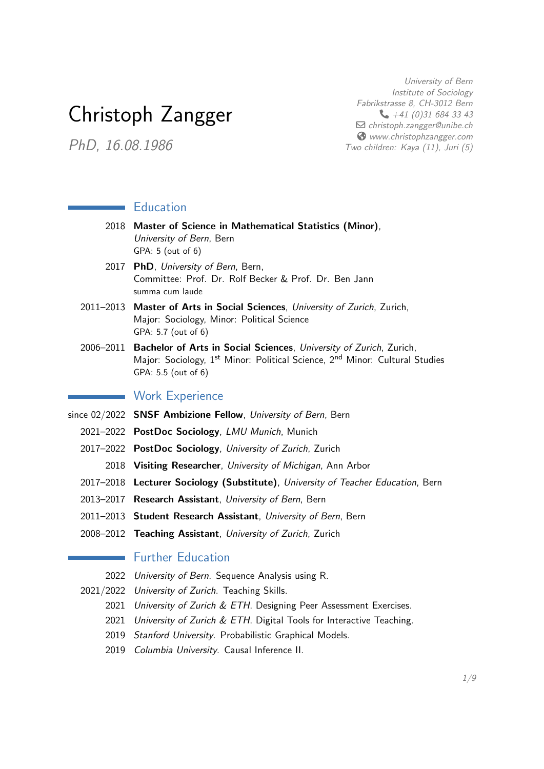# <span id="page-0-0"></span>Christoph Zangger

PhD, 16.08.1986

University of Bern Institute of Sociology Fabrikstrasse 8, CH-3012 Bern  $+41(0)316843343$  $\Box$  [christoph.zangger@unibe.ch](mailto:christoph.zangger@unibe.ch) [www.christophzangger.com](https://www.christophzangger.com) Two children: Kaya (11), Juri (5)

## **Education**

- 2018 Master of Science in Mathematical Statistics (Minor), University of Bern, Bern GPA: 5 (out of 6)
- 2017 PhD, University of Bern, Bern, Committee: Prof. Dr. Rolf Becker & Prof. Dr. Ben Jann summa cum laude
- 2011–2013 Master of Arts in Social Sciences, University of Zurich, Zurich, Major: Sociology, Minor: Political Science GPA: 5.7 (out of 6)
- 2006–2011 Bachelor of Arts in Social Sciences, University of Zurich, Zurich, Major: Sociology, 1<sup>st</sup> Minor: Political Science, 2<sup>nd</sup> Minor: Cultural Studies GPA: 5.5 (out of 6)

## **Work Experience**

- since 02/2022 **SNSF Ambizione Fellow**, University of Bern, Bern
	- 2021–2022 PostDoc Sociology, LMU Munich, Munich
	- 2017–2022 PostDoc Sociology, University of Zurich, Zurich
		- 2018 Visiting Researcher, University of Michigan, Ann Arbor
	- 2017-2018 Lecturer Sociology (Substitute), University of Teacher Education, Bern
	- 2013–2017 Research Assistant, University of Bern, Bern
	- 2011–2013 Student Research Assistant, University of Bern, Bern
	- 2008–2012 Teaching Assistant, University of Zurich, Zurich

# **Further Education**

- 2022 University of Bern. Sequence Analysis using R.
- 2021/2022 University of Zurich. Teaching Skills.
	- 2021 University of Zurich & ETH. Designing Peer Assessment Exercises.
	- 2021 University of Zurich & ETH. Digital Tools for Interactive Teaching.
	- 2019 Stanford University. Probabilistic Graphical Models.
	- 2019 Columbia University. Causal Inference II.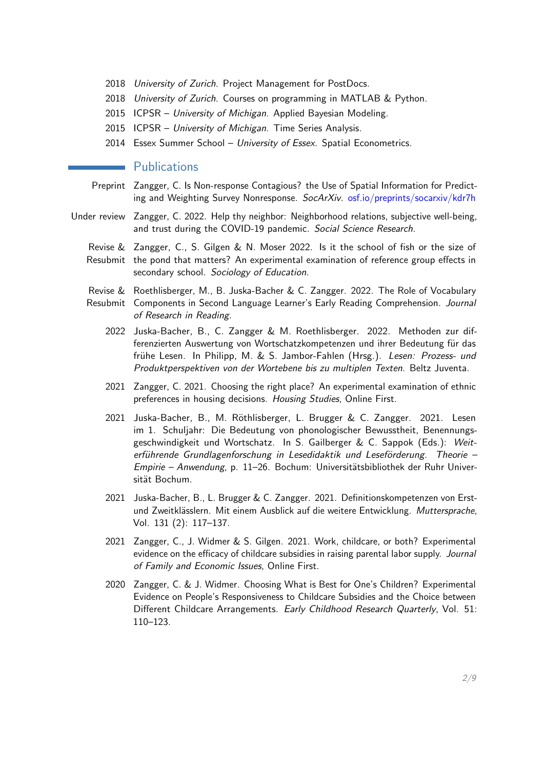- 2018 University of Zurich. Project Management for PostDocs.
- 2018 University of Zurich. Courses on programming in MATLAB & Python.
- 2015 ICPSR University of Michigan. Applied Bayesian Modeling.
- 2015 ICPSR University of Michigan. Time Series Analysis.
- 2014 Essex Summer School University of Essex. Spatial Econometrics.

## **Publications**

- Preprint Zangger, C. Is Non-response Contagious? the Use of Spatial Information for Predicting and Weighting Survey Nonresponse. SocArXiv. [osf.io/preprints/socarxiv/kdr7h](#page-0-0)
- Under review Zangger, C. 2022. Help thy neighbor: Neighborhood relations, subjective well-being, and trust during the COVID-19 pandemic. Social Science Research.
	- Revise & Zangger, C., S. Gilgen & N. Moser 2022. Is it the school of fish or the size of Resubmit the pond that matters? An experimental examination of reference group effects in secondary school. Sociology of Education.
	- Revise & Roethlisberger, M., B. Juska-Bacher & C. Zangger. 2022. The Role of Vocabulary Resubmit Components in Second Language Learner's Early Reading Comprehension. Journal of Research in Reading.
		- 2022 Juska-Bacher, B., C. Zangger & M. Roethlisberger. 2022. Methoden zur differenzierten Auswertung von Wortschatzkompetenzen und ihrer Bedeutung für das frühe Lesen. In Philipp, M. & S. Jambor-Fahlen (Hrsg.). Lesen: Prozess- und Produktperspektiven von der Wortebene bis zu multiplen Texten. Beltz Juventa.
		- 2021 Zangger, C. 2021. Choosing the right place? An experimental examination of ethnic preferences in housing decisions. Housing Studies, Online First.
		- 2021 Juska-Bacher, B., M. Röthlisberger, L. Brugger & C. Zangger. 2021. Lesen im 1. Schuljahr: Die Bedeutung von phonologischer Bewusstheit, Benennungsgeschwindigkeit und Wortschatz. In S. Gailberger & C. Sappok (Eds.): Weiterführende Grundlagenforschung in Lesedidaktik und Leseförderung. Theorie -Empirie – Anwendung, p. 11–26. Bochum: Universitätsbibliothek der Ruhr Universität Bochum.
		- 2021 Juska-Bacher, B., L. Brugger & C. Zangger. 2021. Definitionskompetenzen von Erstund Zweitklässlern. Mit einem Ausblick auf die weitere Entwicklung. Muttersprache, Vol. 131 (2): 117–137.
		- 2021 Zangger, C., J. Widmer & S. Gilgen. 2021. Work, childcare, or both? Experimental evidence on the efficacy of childcare subsidies in raising parental labor supply. Journal of Family and Economic Issues, Online First.
		- 2020 Zangger, C. & J. Widmer. Choosing What is Best for One's Children? Experimental Evidence on People's Responsiveness to Childcare Subsidies and the Choice between Different Childcare Arrangements. Early Childhood Research Quarterly, Vol. 51: 110–123.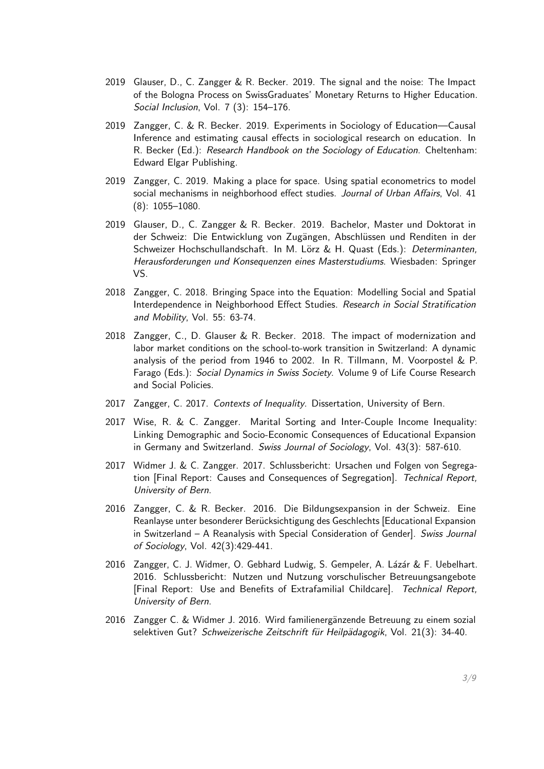- 2019 Glauser, D., C. Zangger & R. Becker. 2019. The signal and the noise: The Impact of the Bologna Process on SwissGraduates' Monetary Returns to Higher Education. Social Inclusion, Vol. 7 (3): 154–176.
- 2019 Zangger, C. & R. Becker. 2019. Experiments in Sociology of Education—Causal Inference and estimating causal effects in sociological research on education. In R. Becker (Ed.): Research Handbook on the Sociology of Education. Cheltenham: Edward Elgar Publishing.
- 2019 Zangger, C. 2019. Making a place for space. Using spatial econometrics to model social mechanisms in neighborhood effect studies. Journal of Urban Affairs, Vol. 41 (8): 1055–1080.
- 2019 Glauser, D., C. Zangger & R. Becker. 2019. Bachelor, Master und Doktorat in der Schweiz: Die Entwicklung von Zugängen, Abschlüssen und Renditen in der Schweizer Hochschullandschaft. In M. Lörz & H. Quast (Eds.): Determinanten, Herausforderungen und Konsequenzen eines Masterstudiums. Wiesbaden: Springer VS.
- 2018 Zangger, C. 2018. Bringing Space into the Equation: Modelling Social and Spatial Interdependence in Neighborhood Effect Studies. Research in Social Stratification and Mobility, Vol. 55: 63-74.
- 2018 Zangger, C., D. Glauser & R. Becker. 2018. The impact of modernization and labor market conditions on the school-to-work transition in Switzerland: A dynamic analysis of the period from 1946 to 2002. In R. Tillmann, M. Voorpostel & P. Farago (Eds.): Social Dynamics in Swiss Society. Volume 9 of Life Course Research and Social Policies.
- 2017 Zangger, C. 2017. Contexts of Inequality. Dissertation, University of Bern.
- 2017 Wise, R. & C. Zangger. Marital Sorting and Inter-Couple Income Inequality: Linking Demographic and Socio-Economic Consequences of Educational Expansion in Germany and Switzerland. Swiss Journal of Sociology, Vol. 43(3): 587-610.
- 2017 Widmer J. & C. Zangger. 2017. Schlussbericht: Ursachen und Folgen von Segregation [Final Report: Causes and Consequences of Segregation]. Technical Report, University of Bern.
- 2016 Zangger, C. & R. Becker. 2016. Die Bildungsexpansion in der Schweiz. Eine Reanlayse unter besonderer Berücksichtigung des Geschlechts [Educational Expansion in Switzerland – A Reanalysis with Special Consideration of Gender]. Swiss Journal of Sociology, Vol. 42(3):429-441.
- 2016 Zangger, C. J. Widmer, O. Gebhard Ludwig, S. Gempeler, A. Lázár & F. Uebelhart. 2016. Schlussbericht: Nutzen und Nutzung vorschulischer Betreuungsangebote [Final Report: Use and Benefits of Extrafamilial Childcare]. Technical Report, University of Bern.
- 2016 Zangger C. & Widmer J. 2016. Wird familienergänzende Betreuung zu einem sozial selektiven Gut? Schweizerische Zeitschrift für Heilpädagogik, Vol. 21(3): 34-40.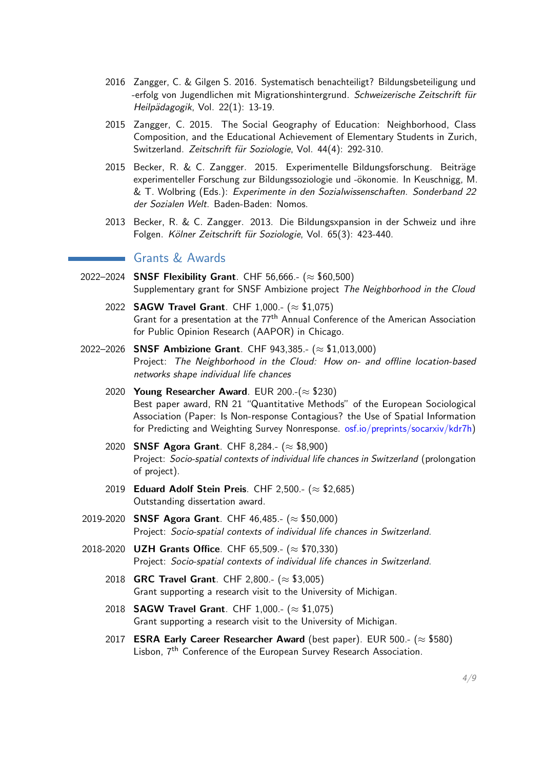- 2016 Zangger, C. & Gilgen S. 2016. Systematisch benachteiligt? Bildungsbeteiligung und -erfolg von Jugendlichen mit Migrationshintergrund. Schweizerische Zeitschrift für Heilpädagogik, Vol. 22(1): 13-19.
- 2015 Zangger, C. 2015. The Social Geography of Education: Neighborhood, Class Composition, and the Educational Achievement of Elementary Students in Zurich, Switzerland. Zeitschrift für Soziologie, Vol. 44(4): 292-310.
- 2015 Becker, R. & C. Zangger. 2015. Experimentelle Bildungsforschung. Beiträge experimenteller Forschung zur Bildungssoziologie und -ökonomie. In Keuschnigg, M. & T. Wolbring (Eds.): Experimente in den Sozialwissenschaften. Sonderband 22 der Sozialen Welt. Baden-Baden: Nomos.
- 2013 Becker, R. & C. Zangger. 2013. Die Bildungsxpansion in der Schweiz und ihre Folgen. Kölner Zeitschrift für Soziologie, Vol. 65(3): 423-440.

## Grants & Awards

- 2022–2024 SNSF Flexibility Grant. CHF 56,666.- ( $\approx$  \$60,500) Supplementary grant for SNSF Ambizione project The Neighborhood in the Cloud
	- 2022 **SAGW Travel Grant**. CHF 1,000.- ( $\approx$  \$1,075) Grant for a presentation at the 77<sup>th</sup> Annual Conference of the American Association for Public Opinion Research (AAPOR) in Chicago.
- 2022–2026 SNSF Ambizione Grant. CHF 943,385.- (≈ \$1,013,000) Project: The Neighborhood in the Cloud: How on- and offline location-based networks shape individual life chances
	- 2020 Young Researcher Award. EUR 200.- $(\approx $230)$ Best paper award, RN 21 "Quantitative Methods" of the European Sociological Association (Paper: Is Non-response Contagious? the Use of Spatial Information for Predicting and Weighting Survey Nonresponse. [osf.io/preprints/socarxiv/kdr7h\)](#page-0-0)
	- 2020 SNSF Agora Grant. CHF 8,284.- ( $\approx$  \$8,900) Project: Socio-spatial contexts of individual life chances in Switzerland (prolongation of project).
	- 2019 Eduard Adolf Stein Preis. CHF 2,500.- ( $\approx$  \$2,685) Outstanding dissertation award.
- 2019-2020 SNSF Agora Grant. CHF 46,485.- ( $\approx$  \$50,000) Project: Socio-spatial contexts of individual life chances in Switzerland.
- 2018-2020 **UZH Grants Office**. CHF 65,509.- (≈ \$70,330) Project: Socio-spatial contexts of individual life chances in Switzerland.
	- 2018 GRC Travel Grant. CHF 2,800.- ( $\approx$  \$3,005) Grant supporting a research visit to the University of Michigan.
	- 2018 **SAGW Travel Grant**. CHF 1,000.- ( $\approx$  \$1,075) Grant supporting a research visit to the University of Michigan.
	- 2017 ESRA Early Career Researcher Award (best paper). EUR 500.- ( $\approx$  \$580) Lisbon, 7<sup>th</sup> Conference of the European Survey Research Association.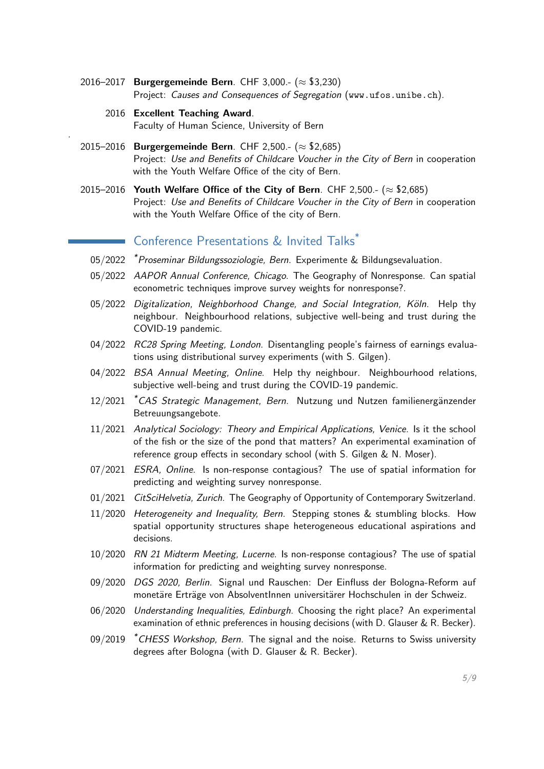- 2016–2017 Burgergemeinde Bern. CHF 3,000.- ( $\approx$  \$3,230) Project: Causes and Consequences of Segregation (<www.ufos.unibe.ch>).
	- 2016 Excellent Teaching Award. Faculty of Human Science, University of Bern

.

- 2015–2016 Burgergemeinde Bern. CHF 2,500.- ( $\approx$  \$2,685) Project: Use and Benefits of Childcare Voucher in the City of Bern in cooperation with the Youth Welfare Office of the city of Bern.
- 2015–2016 Youth Welfare Office of the City of Bern. CHF 2,500.- ( $\approx$  \$2,685) Project: Use and Benefits of Childcare Voucher in the City of Bern in cooperation with the Youth Welfare Office of the city of Bern.

# Conference Presentations & Invited Talks\*

- 05/2022 \*Proseminar Bildungssoziologie, Bern. Experimente & Bildungsevaluation.
- 05/2022 AAPOR Annual Conference, Chicago. The Geography of Nonresponse. Can spatial econometric techniques improve survey weights for nonresponse?.
- 05/2022 Digitalization, Neighborhood Change, and Social Integration, Köln. Help thy neighbour. Neighbourhood relations, subjective well-being and trust during the COVID-19 pandemic.
- 04/2022 RC28 Spring Meeting, London. Disentangling people's fairness of earnings evaluations using distributional survey experiments (with S. Gilgen).
- 04/2022 BSA Annual Meeting, Online. Help thy neighbour. Neighbourhood relations, subjective well-being and trust during the COVID-19 pandemic.
- 12/2021 <sup>\*</sup>CAS Strategic Management, Bern. Nutzung und Nutzen familienergänzender Betreuungsangebote.
- 11/2021 Analytical Sociology: Theory and Empirical Applications, Venice. Is it the school of the fish or the size of the pond that matters? An experimental examination of reference group effects in secondary school (with S. Gilgen & N. Moser).
- 07/2021 *ESRA, Online*. Is non-response contagious? The use of spatial information for predicting and weighting survey nonresponse.
- 01/2021 CitSciHelvetia, Zurich. The Geography of Opportunity of Contemporary Switzerland.
- 11/2020 Heterogeneity and Inequality, Bern. Stepping stones & stumbling blocks. How spatial opportunity structures shape heterogeneous educational aspirations and decisions.
- 10/2020 RN 21 Midterm Meeting, Lucerne. Is non-response contagious? The use of spatial information for predicting and weighting survey nonresponse.
- 09/2020 DGS 2020, Berlin. Signal und Rauschen: Der Einfluss der Bologna-Reform auf monetäre Erträge von AbsolventInnen universitärer Hochschulen in der Schweiz.
- 06/2020 Understanding Inequalities, Edinburgh. Choosing the right place? An experimental examination of ethnic preferences in housing decisions (with D. Glauser & R. Becker).
- $09/2019$   $*$  CHESS Workshop, Bern. The signal and the noise. Returns to Swiss university degrees after Bologna (with D. Glauser & R. Becker).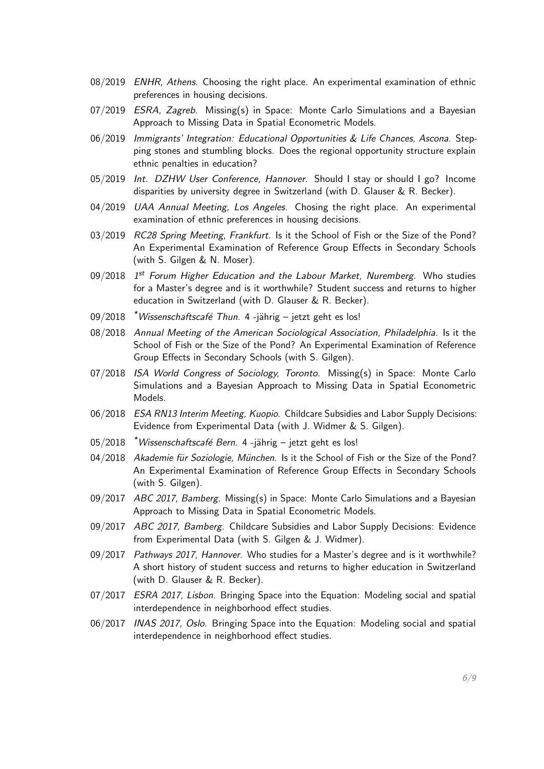- 08/2019 ENHR, Athens. Choosing the right place. An experimental examination of ethnic preferences in housing decisions.
- 07/2019 ESRA, Zagreb. Missing(s) in Space: Monte Carlo Simulations and a Bayesian Approach to Missing Data in Spatial Econometric Models.
- 06/2019 Immigrants' Integration: Educational Opportunities & Life Chances, Ascona. Stepping stones and stumbling blocks. Does the regional opportunity structure explain ethnic penalties in education?
- 05/2019 Int. DZHW User Conference, Hannover. Should I stay or should I go? Income disparities by university degree in Switzerland (with D. Glauser & R. Becker).
- 04/2019 UAA Annual Meeting, Los Angeles. Chosing the right place. An experimental examination of ethnic preferences in housing decisions.
- 03/2019 RC28 Spring Meeting, Frankfurt. Is it the School of Fish or the Size of the Pond? An Experimental Examination of Reference Group Effects in Secondary Schools (with S. Gilgen & N. Moser).
- 09/2018 1<sup>st</sup> Forum Higher Education and the Labour Market, Nuremberg. Who studies for a Master's degree and is it worthwhile? Student success and returns to higher education in Switzerland (with D. Glauser & R. Becker).
- $09/2018$  \*Wissenschaftscafé Thun. 4 -jährig jetzt geht es los!
- 08/2018 Annual Meeting of the American Sociological Association, Philadelphia. Is it the School of Fish or the Size of the Pond? An Experimental Examination of Reference Group Effects in Secondary Schools (with S. Gilgen).
- 07/2018 ISA World Congress of Sociology, Toronto. Missing(s) in Space: Monte Carlo Simulations and a Bayesian Approach to Missing Data in Spatial Econometric Models.
- 06/2018 *ESA RN13 Interim Meeting, Kuopio.* Childcare Subsidies and Labor Supply Decisions: Evidence from Experimental Data (with J. Widmer & S. Gilgen).
- $05/2018$  \*Wissenschaftscafé Bern. 4 -jährig jetzt geht es los!
- 04/2018 Akademie für Soziologie, München. Is it the School of Fish or the Size of the Pond? An Experimental Examination of Reference Group Effects in Secondary Schools (with S. Gilgen).
- 09/2017 ABC 2017, Bamberg. Missing(s) in Space: Monte Carlo Simulations and a Bayesian Approach to Missing Data in Spatial Econometric Models.
- 09/2017 ABC 2017, Bamberg. Childcare Subsidies and Labor Supply Decisions: Evidence from Experimental Data (with S. Gilgen & J. Widmer).
- 09/2017 Pathways 2017, Hannover. Who studies for a Master's degree and is it worthwhile? A short history of student success and returns to higher education in Switzerland (with D. Glauser & R. Becker).
- 07/2017 *ESRA 2017, Lisbon.* Bringing Space into the Equation: Modeling social and spatial interdependence in neighborhood effect studies.
- 06/2017 INAS 2017, Oslo. Bringing Space into the Equation: Modeling social and spatial interdependence in neighborhood effect studies.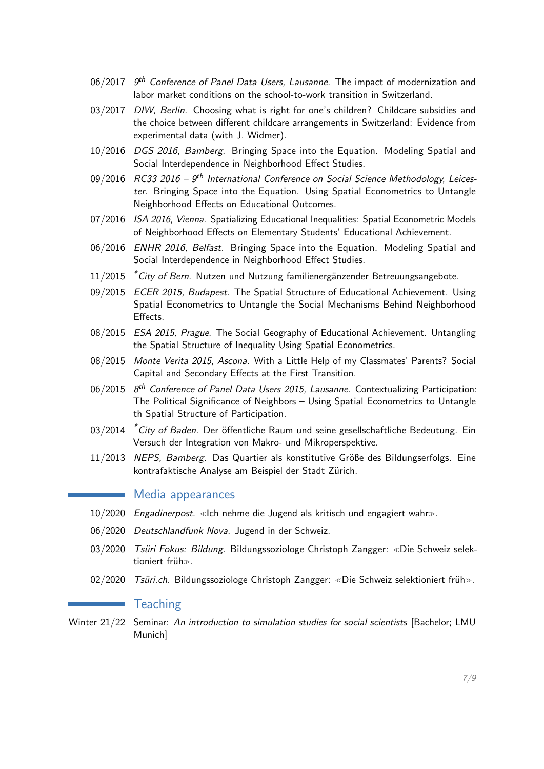- $06/2017$   $9<sup>th</sup>$  Conference of Panel Data Users, Lausanne. The impact of modernization and labor market conditions on the school-to-work transition in Switzerland.
- 03/2017 DIW, Berlin. Choosing what is right for one's children? Childcare subsidies and the choice between different childcare arrangements in Switzerland: Evidence from experimental data (with J. Widmer).
- 10/2016 DGS 2016, Bamberg. Bringing Space into the Equation. Modeling Spatial and Social Interdependence in Neighborhood Effect Studies.
- 09/2016 RC33 2016  $9<sup>th</sup>$  International Conference on Social Science Methodology, Leicester. Bringing Space into the Equation. Using Spatial Econometrics to Untangle Neighborhood Effects on Educational Outcomes.
- 07/2016 ISA 2016, Vienna. Spatializing Educational Inequalities: Spatial Econometric Models of Neighborhood Effects on Elementary Students' Educational Achievement.
- 06/2016 ENHR 2016, Belfast. Bringing Space into the Equation. Modeling Spatial and Social Interdependence in Neighborhood Effect Studies.
- $11/2015$  \*City of Bern. Nutzen und Nutzung familienergänzender Betreuungsangebote.
- 09/2015 *ECER 2015, Budapest*. The Spatial Structure of Educational Achievement. Using Spatial Econometrics to Untangle the Social Mechanisms Behind Neighborhood Effects.
- 08/2015 *ESA 2015, Prague*. The Social Geography of Educational Achievement. Untangling the Spatial Structure of Inequality Using Spatial Econometrics.
- 08/2015 Monte Verita 2015, Ascona. With a Little Help of my Classmates' Parents? Social Capital and Secondary Effects at the First Transition.
- 06/2015 8<sup>th</sup> Conference of Panel Data Users 2015, Lausanne. Contextualizing Participation: The Political Significance of Neighbors – Using Spatial Econometrics to Untangle th Spatial Structure of Participation.
- 03/2014 <sup>\*</sup>City of Baden. Der öffentliche Raum und seine gesellschaftliche Bedeutung. Ein Versuch der Integration von Makro- und Mikroperspektive.
- 11/2013 NEPS, Bamberg. Das Quartier als konstitutive Größe des Bildungserfolgs. Eine kontrafaktische Analyse am Beispiel der Stadt Zürich.

#### Media appearances

- 10/2020 Engadinerpost. <sup>≪</sup>Ich nehme die Jugend als kritisch und engagiert wahr≫.
- 06/2020 Deutschlandfunk Nova. Jugend in der Schweiz.
- 03/2020 Tsüri Fokus: Bildung. Bildungssoziologe Christoph Zangger: «Die Schweiz selektioniert früh≫.
- 02/2020 Tsüri.ch. Bildungssoziologe Christoph Zangger: «Die Schweiz selektioniert früh».

### **T**eaching

Winter 21/22 Seminar: An introduction to simulation studies for social scientists [Bachelor; LMU Munich]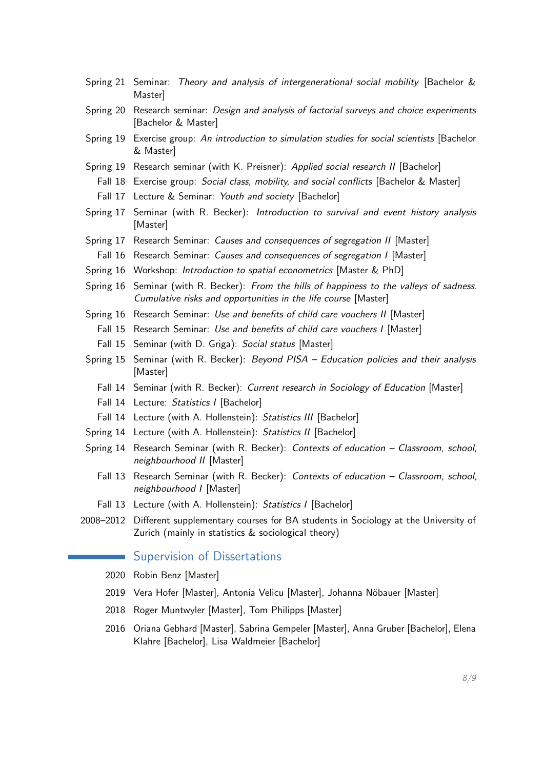- Spring 21 Seminar: Theory and analysis of intergenerational social mobility [Bachelor & Master]
- Spring 20 Research seminar: Design and analysis of factorial surveys and choice experiments [Bachelor & Master]
- Spring 19 Exercise group: An introduction to simulation studies for social scientists [Bachelor & Master]
- Spring 19 Research seminar (with K. Preisner): Applied social research II [Bachelor]
	- Fall 18 Exercise group: Social class, mobility, and social conflicts [Bachelor & Master]
	- Fall 17 Lecture & Seminar: Youth and society [Bachelor]
- Spring 17 Seminar (with R. Becker): Introduction to survival and event history analysis [Master]
- Spring 17 Research Seminar: Causes and consequences of segregation II [Master]
	- Fall 16 Research Seminar: Causes and consequences of segregation I [Master]
- Spring 16 Workshop: Introduction to spatial econometrics [Master & PhD]
- Spring 16 Seminar (with R. Becker): From the hills of happiness to the valleys of sadness. Cumulative risks and opportunities in the life course [Master]
- Spring 16 Research Seminar: Use and benefits of child care vouchers II [Master]
	- Fall 15 Research Seminar: Use and benefits of child care vouchers I [Master]
	- Fall 15 Seminar (with D. Griga): Social status [Master]
- Spring 15 Seminar (with R. Becker): *Beyond PISA Education policies and their analysis* [Master]
	- Fall 14 Seminar (with R. Becker): Current research in Sociology of Education [Master]
	- Fall 14 Lecture: Statistics I [Bachelor]
	- Fall 14 Lecture (with A. Hollenstein): Statistics III [Bachelor]
- Spring 14 Lecture (with A. Hollenstein): Statistics II [Bachelor]
- Spring 14 Research Seminar (with R. Becker): Contexts of education Classroom, school, neighbourhood II [Master]
	- Fall 13 Research Seminar (with R. Becker): Contexts of education Classroom, school, neighbourhood I [Master]
	- Fall 13 Lecture (with A. Hollenstein): Statistics I [Bachelor]
- 2008–2012 Different supplementary courses for BA students in Sociology at the University of Zurich (mainly in statistics & sociological theory)

## Supervision of Dissertations

- 2020 Robin Benz [Master]
- 2019 Vera Hofer [Master], Antonia Velicu [Master], Johanna Nöbauer [Master]
- 2018 Roger Muntwyler [Master], Tom Philipps [Master]
- 2016 Oriana Gebhard [Master], Sabrina Gempeler [Master], Anna Gruber [Bachelor], Elena Klahre [Bachelor], Lisa Waldmeier [Bachelor]